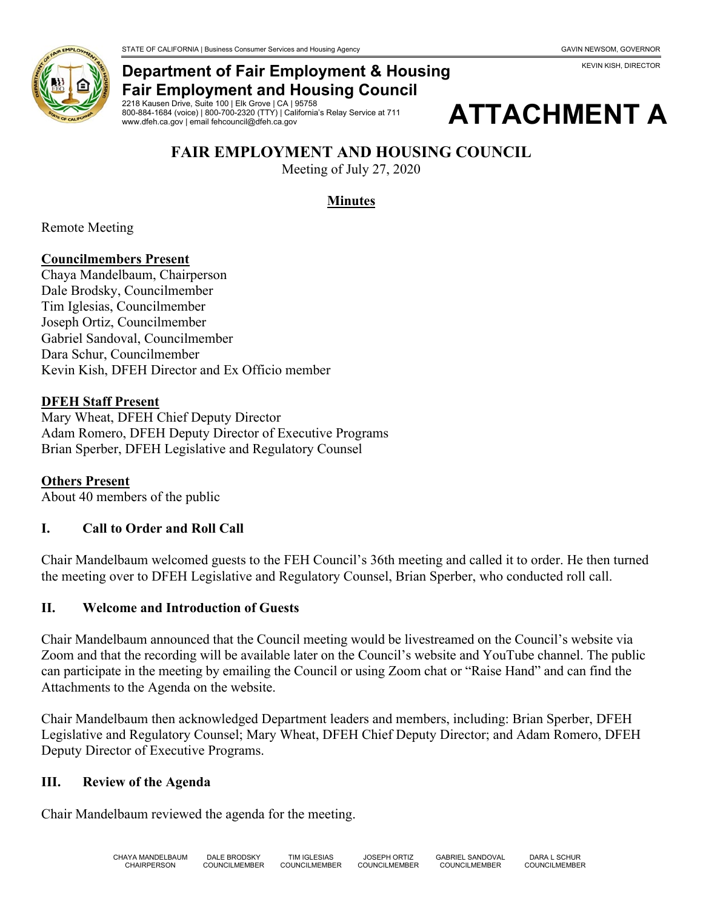KEVIN KISH, DIRECTOR



### **Department of Fair Employment & Housing Fair Employment and Housing Council**

2218 Kausen Drive, Suite 100 | Elk Grove | CA | 95758 800-884-1684 (voice) | 800-700-2320 (TTY) | California's Relay Service at 711 www.dfeh.ca.gov | email fehcouncil@dfeh.ca.gov



# **FAIR EMPLOYMENT AND HOUSING COUNCIL**

Meeting of July 27, 2020

### **Minutes**

Remote Meeting

### **Councilmembers Present**

Chaya Mandelbaum, Chairperson Dale Brodsky, Councilmember Tim Iglesias, Councilmember Joseph Ortiz, Councilmember Gabriel Sandoval, Councilmember Dara Schur, Councilmember Kevin Kish, DFEH Director and Ex Officio member

#### **DFEH Staff Present**

Mary Wheat, DFEH Chief Deputy Director Adam Romero, DFEH Deputy Director of Executive Programs Brian Sperber, DFEH Legislative and Regulatory Counsel

### **Others Present**

About 40 members of the public

### **I. Call to Order and Roll Call**

Chair Mandelbaum welcomed guests to the FEH Council's 36th meeting and called it to order. He then turned the meeting over to DFEH Legislative and Regulatory Counsel, Brian Sperber, who conducted roll call.

#### **II. Welcome and Introduction of Guests**

Chair Mandelbaum announced that the Council meeting would be livestreamed on the Council's website via Zoom and that the recording will be available later on the Council's website and YouTube channel. The public can participate in the meeting by emailing the Council or using Zoom chat or "Raise Hand" and can find the Attachments to the Agenda on the website.

Chair Mandelbaum then acknowledged Department leaders and members, including: Brian Sperber, DFEH Legislative and Regulatory Counsel; Mary Wheat, DFEH Chief Deputy Director; and Adam Romero, DFEH Deputy Director of Executive Programs.

#### **III. Review of the Agenda**

Chair Mandelbaum reviewed the agenda for the meeting.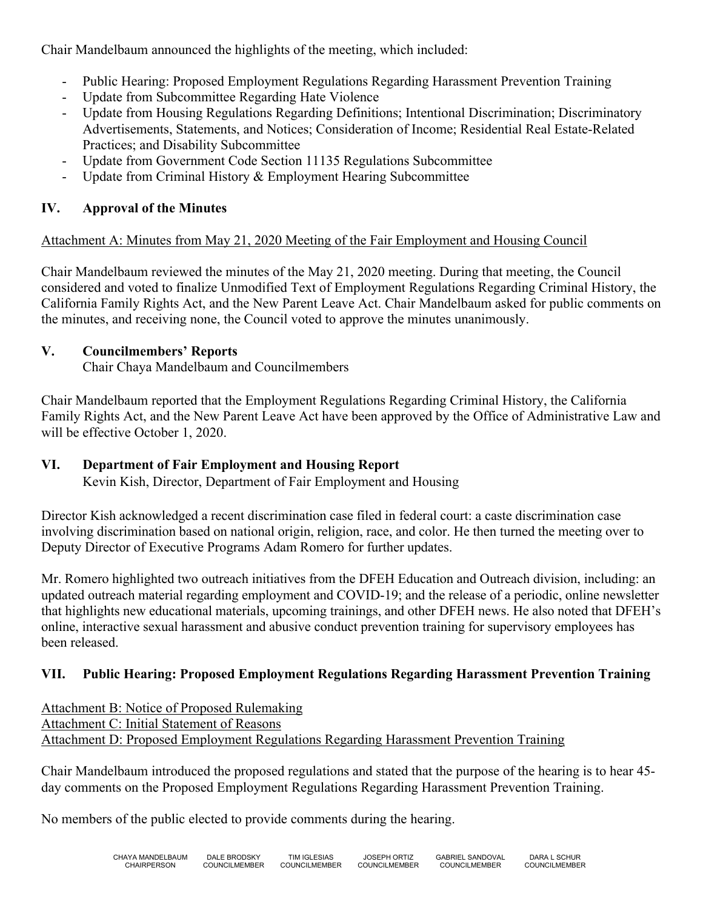Chair Mandelbaum announced the highlights of the meeting, which included:

- Public Hearing: Proposed Employment Regulations Regarding Harassment Prevention Training
- Update from Subcommittee Regarding Hate Violence
- Update from Housing Regulations Regarding Definitions; Intentional Discrimination; Discriminatory Advertisements, Statements, and Notices; Consideration of Income; Residential Real Estate-Related Practices; and Disability Subcommittee
- Update from Government Code Section 11135 Regulations Subcommittee
- Update from Criminal History & Employment Hearing Subcommittee

# **IV. Approval of the Minutes**

### Attachment A: Minutes from May 21, 2020 Meeting of the Fair Employment and Housing Council

Chair Mandelbaum reviewed the minutes of the May 21, 2020 meeting. During that meeting, the Council considered and voted to finalize Unmodified Text of Employment Regulations Regarding Criminal History, the California Family Rights Act, and the New Parent Leave Act. Chair Mandelbaum asked for public comments on the minutes, and receiving none, the Council voted to approve the minutes unanimously.

### **V. Councilmembers' Reports**

Chair Chaya Mandelbaum and Councilmembers

Chair Mandelbaum reported that the Employment Regulations Regarding Criminal History, the California Family Rights Act, and the New Parent Leave Act have been approved by the Office of Administrative Law and will be effective October 1, 2020.

# **VI. Department of Fair Employment and Housing Report**

Kevin Kish, Director, Department of Fair Employment and Housing

Director Kish acknowledged a recent discrimination case filed in federal court: a caste discrimination case involving discrimination based on national origin, religion, race, and color. He then turned the meeting over to Deputy Director of Executive Programs Adam Romero for further updates.

Mr. Romero highlighted two outreach initiatives from the DFEH Education and Outreach division, including: an updated outreach material regarding employment and COVID-19; and the release of a periodic, online newsletter that highlights new educational materials, upcoming trainings, and other DFEH news. He also noted that DFEH's online, interactive sexual harassment and abusive conduct prevention training for supervisory employees has been released.

# **VII. Public Hearing: Proposed Employment Regulations Regarding Harassment Prevention Training**

Attachment B: Notice of Proposed Rulemaking Attachment C: Initial Statement of Reasons Attachment D: Proposed Employment Regulations Regarding Harassment Prevention Training

Chair Mandelbaum introduced the proposed regulations and stated that the purpose of the hearing is to hear 45 day comments on the Proposed Employment Regulations Regarding Harassment Prevention Training.

No members of the public elected to provide comments during the hearing.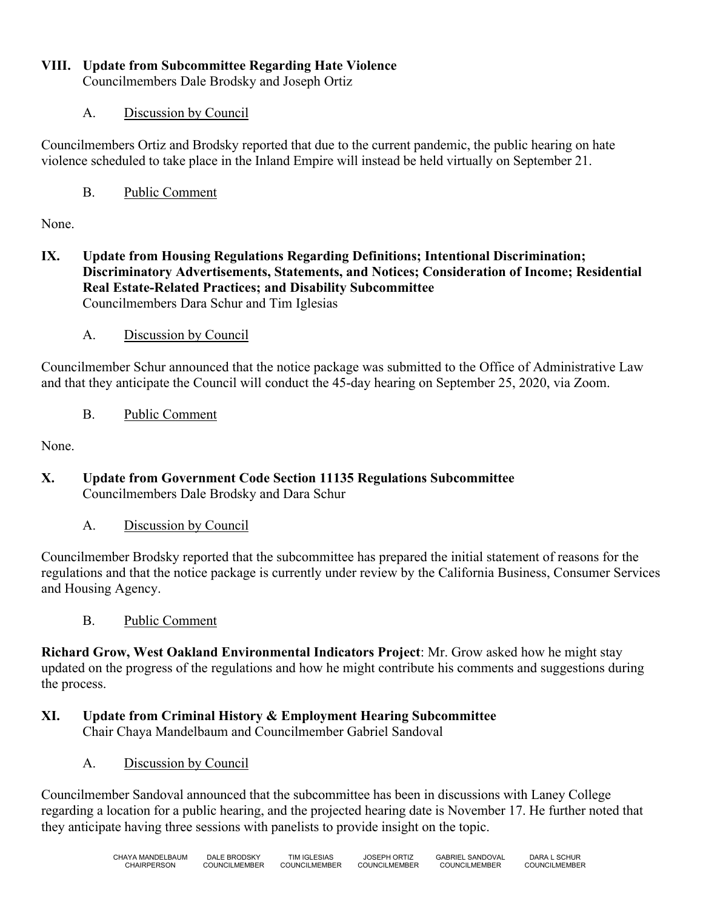### **VIII. Update from Subcommittee Regarding Hate Violence**

Councilmembers Dale Brodsky and Joseph Ortiz

### A. Discussion by Council

Councilmembers Ortiz and Brodsky reported that due to the current pandemic, the public hearing on hate violence scheduled to take place in the Inland Empire will instead be held virtually on September 21.

B. Public Comment

None.

**IX. Update from Housing Regulations Regarding Definitions; Intentional Discrimination; Discriminatory Advertisements, Statements, and Notices; Consideration of Income; Residential Real Estate-Related Practices; and Disability Subcommittee** Councilmembers Dara Schur and Tim Iglesias

### A. Discussion by Council

Councilmember Schur announced that the notice package was submitted to the Office of Administrative Law and that they anticipate the Council will conduct the 45-day hearing on September 25, 2020, via Zoom.

B. Public Comment

None.

- **X. Update from Government Code Section 11135 Regulations Subcommittee** Councilmembers Dale Brodsky and Dara Schur
	- A. Discussion by Council

Councilmember Brodsky reported that the subcommittee has prepared the initial statement of reasons for the regulations and that the notice package is currently under review by the California Business, Consumer Services and Housing Agency.

B. Public Comment

**Richard Grow, West Oakland Environmental Indicators Project**: Mr. Grow asked how he might stay updated on the progress of the regulations and how he might contribute his comments and suggestions during the process.

- **XI. Update from Criminal History & Employment Hearing Subcommittee** Chair Chaya Mandelbaum and Councilmember Gabriel Sandoval
	- A. Discussion by Council

Councilmember Sandoval announced that the subcommittee has been in discussions with Laney College regarding a location for a public hearing, and the projected hearing date is November 17. He further noted that they anticipate having three sessions with panelists to provide insight on the topic.